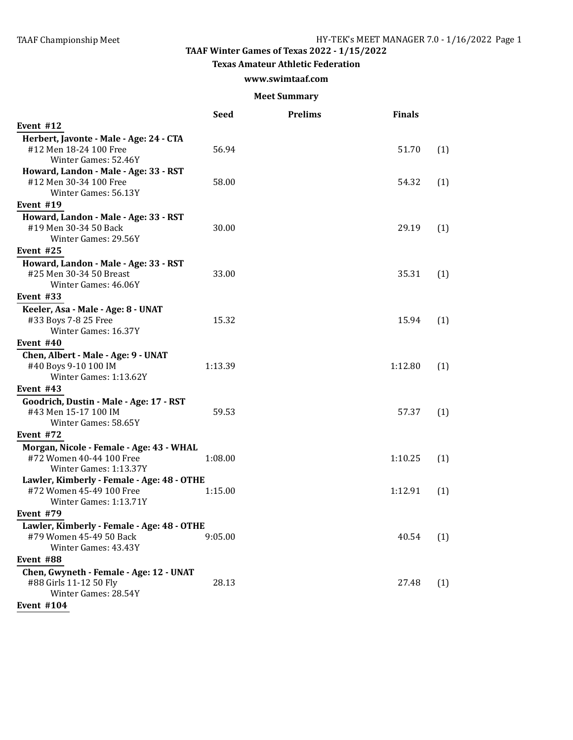## **TAAF Winter Games of Texas 2022 - 1/15/2022**

#### **Texas Amateur Athletic Federation**

### **www.swimtaaf.com**

#### **Meet Summary**

|                                                                                                                 | Seed    | <b>Prelims</b> | <b>Finals</b> |     |
|-----------------------------------------------------------------------------------------------------------------|---------|----------------|---------------|-----|
| Event #12                                                                                                       |         |                |               |     |
| Herbert, Javonte - Male - Age: 24 - CTA<br>#12 Men 18-24 100 Free                                               | 56.94   |                | 51.70         | (1) |
| Winter Games: 52.46Y<br>Howard, Landon - Male - Age: 33 - RST<br>#12 Men 30-34 100 Free<br>Winter Games: 56.13Y | 58.00   |                | 54.32         | (1) |
|                                                                                                                 |         |                |               |     |
| Event #19<br>Howard, Landon - Male - Age: 33 - RST<br>#19 Men 30-34 50 Back<br>Winter Games: 29.56Y             | 30.00   |                | 29.19         | (1) |
| Event #25                                                                                                       |         |                |               |     |
| Howard, Landon - Male - Age: 33 - RST<br>#25 Men 30-34 50 Breast<br>Winter Games: 46.06Y                        | 33.00   |                | 35.31         | (1) |
| Event #33                                                                                                       |         |                |               |     |
| Keeler, Asa - Male - Age: 8 - UNAT<br>#33 Boys 7-8 25 Free<br>Winter Games: 16.37Y                              | 15.32   |                | 15.94         | (1) |
| Event $#40$                                                                                                     |         |                |               |     |
| Chen, Albert - Male - Age: 9 - UNAT<br>#40 Boys 9-10 100 IM<br>Winter Games: 1:13.62Y                           | 1:13.39 |                | 1:12.80       | (1) |
| Event #43                                                                                                       |         |                |               |     |
| Goodrich, Dustin - Male - Age: 17 - RST<br>#43 Men 15-17 100 IM<br>Winter Games: 58.65Y                         | 59.53   |                | 57.37         | (1) |
| Event #72                                                                                                       |         |                |               |     |
| Morgan, Nicole - Female - Age: 43 - WHAL                                                                        |         |                |               |     |
| #72 Women 40-44 100 Free<br>Winter Games: 1:13.37Y                                                              | 1:08.00 |                | 1:10.25       | (1) |
| Lawler, Kimberly - Female - Age: 48 - OTHE<br>#72 Women 45-49 100 Free<br>Winter Games: 1:13.71Y                | 1:15.00 |                | 1:12.91       | (1) |
| Event #79                                                                                                       |         |                |               |     |
| Lawler, Kimberly - Female - Age: 48 - OTHE<br>#79 Women 45-49 50 Back<br>Winter Games: 43.43Y                   | 9:05.00 |                | 40.54         | (1) |
| Event #88                                                                                                       |         |                |               |     |
| Chen, Gwyneth - Female - Age: 12 - UNAT<br>#88 Girls 11-12 50 Fly<br>Winter Games: 28.54Y                       | 28.13   |                | 27.48         | (1) |
| <b>Event #104</b>                                                                                               |         |                |               |     |